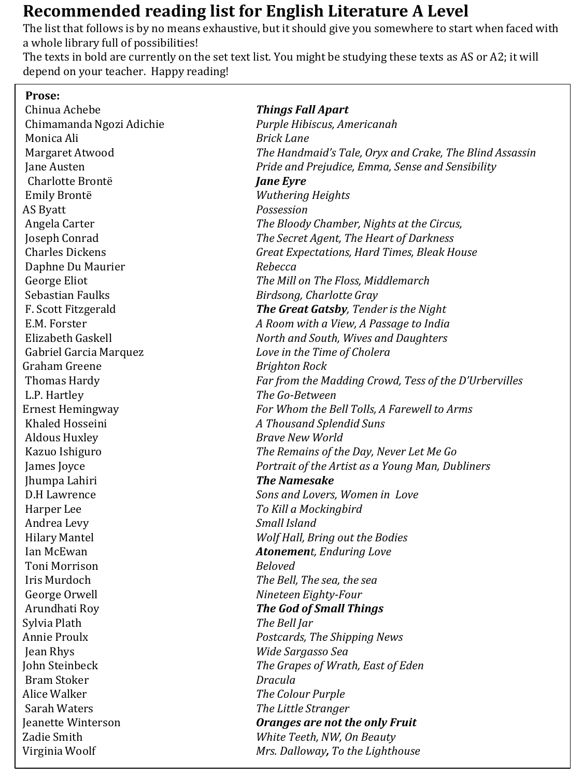## **Recommended reading list for English Literature A Level**

The list that follows is by no means exhaustive, but it should give you somewhere to start when faced with a whole library full of possibilities!

The texts in bold are currently on the set text list. You might be studying these texts as AS or A2; it will depend on your teacher. Happy reading!

| Prose:                   |                                                         |
|--------------------------|---------------------------------------------------------|
| Chinua Achebe            | <b>Things Fall Apart</b>                                |
| Chimamanda Ngozi Adichie | Purple Hibiscus, Americanah                             |
| Monica Ali               | <b>Brick Lane</b>                                       |
| Margaret Atwood          | The Handmaid's Tale, Oryx and Crake, The Blind Assassin |
| Jane Austen              | Pride and Prejudice, Emma, Sense and Sensibility        |
| Charlotte Brontë         | <b>Jane Eyre</b>                                        |
| Emily Brontë             | <b>Wuthering Heights</b>                                |
| AS Byatt                 | Possession                                              |
| Angela Carter            | The Bloody Chamber, Nights at the Circus,               |
| Joseph Conrad            | The Secret Agent, The Heart of Darkness                 |
| <b>Charles Dickens</b>   | Great Expectations, Hard Times, Bleak House             |
| Daphne Du Maurier        | Rebecca                                                 |
| George Eliot             | The Mill on The Floss, Middlemarch                      |
| Sebastian Faulks         | Birdsong, Charlotte Gray                                |
| F. Scott Fitzgerald      | The Great Gatsby, Tender is the Night                   |
| E.M. Forster             | A Room with a View, A Passage to India                  |
| Elizabeth Gaskell        | North and South, Wives and Daughters                    |
| Gabriel Garcia Marquez   | Love in the Time of Cholera                             |
| Graham Greene            | <b>Brighton Rock</b>                                    |
| <b>Thomas Hardy</b>      | Far from the Madding Crowd, Tess of the D'Urbervilles   |
| L.P. Hartley             | The Go-Between                                          |
| <b>Ernest Hemingway</b>  | For Whom the Bell Tolls, A Farewell to Arms             |
| Khaled Hosseini          | A Thousand Splendid Suns                                |
| <b>Aldous Huxley</b>     | <b>Brave New World</b>                                  |
| Kazuo Ishiguro           | The Remains of the Day, Never Let Me Go                 |
| James Joyce              | Portrait of the Artist as a Young Man, Dubliners        |
| Jhumpa Lahiri            | <b>The Namesake</b>                                     |
| <b>D.H</b> Lawrence      | Sons and Lovers, Women in Love                          |
| Harper Lee               | To Kill a Mockingbird                                   |
| Andrea Levy              | Small Island                                            |
| <b>Hilary Mantel</b>     | Wolf Hall, Bring out the Bodies                         |
| Ian McEwan               | <b>Atonement</b> , Enduring Love                        |
| Toni Morrison            | <b>Beloved</b>                                          |
| Iris Murdoch             | The Bell, The sea, the sea                              |
| George Orwell            | Nineteen Eighty-Four                                    |
| Arundhati Roy            | <b>The God of Small Things</b>                          |
| Sylvia Plath             | The Bell Jar                                            |
| Annie Proulx             | Postcards, The Shipping News                            |
| Jean Rhys                | Wide Sargasso Sea                                       |
| John Steinbeck           | The Grapes of Wrath, East of Eden                       |
| <b>Bram Stoker</b>       | Dracula                                                 |
| Alice Walker             | The Colour Purple                                       |
| Sarah Waters             | The Little Stranger                                     |
| Jeanette Winterson       | <b>Oranges are not the only Fruit</b>                   |
| Zadie Smith              | White Teeth, NW, On Beauty                              |
| Virginia Woolf           | Mrs. Dalloway, To the Lighthouse                        |
|                          |                                                         |